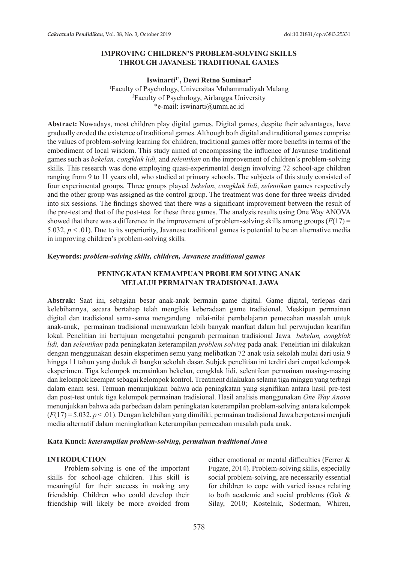## **IMPROVING CHILDREN'S PROBLEM-SOLVING SKILLS THROUGH JAVANESE TRADITIONAL GAMES**

Iswinarti<sup>1\*</sup>, Dewi Retno Suminar<sup>2</sup>

1 Faculty of Psychology, Universitas Muhammadiyah Malang 2 Faculty of Psychology, Airlangga University \*e-mail: iswinarti@umm.ac.id

**Abstract:** Nowadays, most children play digital games. Digital games, despite their advantages, have gradually eroded the existence of traditional games. Although both digital and traditional games comprise the values of problem-solving learning for children, traditional games offer more benefits in terms of the embodiment of local wisdom. This study aimed at encompassing the influence of Javanese traditional games such as *bekelan, congklak lidi,* and *selentikan* on the improvement of children's problem-solving skills. This research was done employing quasi-experimental design involving 72 school-age children ranging from 9 to 11 years old, who studied at primary schools. The subjects of this study consisted of four experimental groups. Three groups played *bekelan*, *congklak lidi*, *selentikan* games respectively and the other group was assigned as the control group. The treatment was done for three weeks divided into six sessions. The findings showed that there was a significant improvement between the result of the pre-test and that of the post-test for these three games. The analysis results using One Way ANOVA showed that there was a difference in the improvement of problem-solving skills among groups  $(F(17) =$ 5.032,  $p < 0.01$ ). Due to its superiority, Javanese traditional games is potential to be an alternative media in improving children's problem-solving skills.

### **Keywords:** *problem-solving skills, children, Javanese traditional games*

## **PENINGKATAN KEMAMPUAN PROBLEM SOLVING ANAK MELALUI PERMAINAN TRADISIONAL JAWA**

**Abstrak:** Saat ini, sebagian besar anak-anak bermain game digital. Game digital, terlepas dari kelebihannya, secara bertahap telah mengikis keberadaan game tradisional. Meskipun permainan digital dan tradisional sama-sama mengandung nilai-nilai pembelajaran pemecahan masalah untuk anak-anak, permainan tradisional menawarkan lebih banyak manfaat dalam hal perwujudan kearifan lokal. Penelitian ini bertujuan mengetahui pengaruh permainan tradisional Jawa *bekelan, congklak lidi,* dan *selentikan* pada peningkatan keterampilan *problem solving* pada anak. Penelitian ini dilakukan dengan menggunakan desain eksperimen semu yang melibatkan 72 anak usia sekolah mulai dari usia 9 hingga 11 tahun yang duduk di bangku sekolah dasar. Subjek penelitian ini terdiri dari empat kelompok eksperimen. Tiga kelompok memainkan bekelan, congklak lidi, selentikan permainan masing-masing dan kelompok keempat sebagai kelompok kontrol. Treatment dilakukan selama tiga minggu yang terbagi dalam enam sesi. Temuan menunjukkan bahwa ada peningkatan yang signifikan antara hasil pre-test dan post-test untuk tiga kelompok permainan tradisional. Hasil analisis menggunakan *One Way Anova* menunjukkan bahwa ada perbedaan dalam peningkatan keterampilan problem-solving antara kelompok (*F*(17) = 5.032, *p* < .01). Dengan kelebihan yang dimiliki, permainan tradisional Jawa berpotensi menjadi media alternatif dalam meningkatkan keterampilan pemecahan masalah pada anak.

#### **Kata Kunci:** *keterampilan problem-solving, permainan traditional Jawa*

### **INTRODUCTION**

Problem-solving is one of the important skills for school-age children. This skill is meaningful for their success in making any friendship. Children who could develop their friendship will likely be more avoided from either emotional or mental difficulties (Ferrer & Fugate, 2014). Problem-solving skills, especially social problem-solving, are necessarily essential for children to cope with varied issues relating to both academic and social problems (Gok & Silay, 2010; Kostelnik, Soderman, Whiren,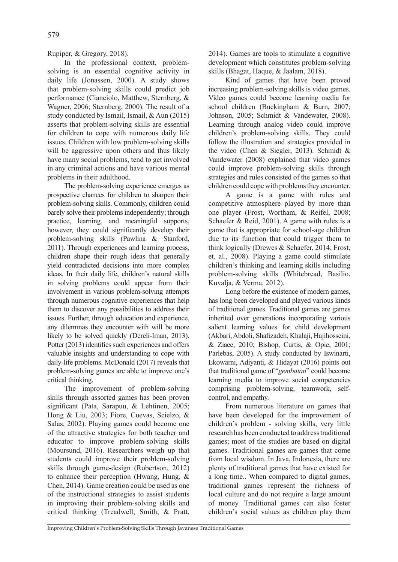Rupiper, & Gregory, 2018).

In the professional context, problemsolving is an essential cognitive activity in daily life (Jonassen, 2000). A study shows that problem-solving skills could predict job performance (Cianciolo, Matthew, Sternberg, & Wagner, 2006; Sternberg, 2000). The result of a study conducted by Ismail, Ismail, & Aun (2015) asserts that problem-solving skills are essential for children to cope with numerous daily life issues. Children with low problem-solving skills will be aggressive upon others and thus likely have many social problems, tend to get involved in any criminal actions and have various mental problems in their adulthood.

The problem-solving experience emerges as prospective chances for children to sharpen their problem-solving skills. Commonly, children could barely solve their problems independently; through practice, learning, and meaningful supports, however, they could significantly develop their problem-solving skills (Pawlina & Stanford, 2011). Through experiences and learning process, children shape their rough ideas that generally yield contradicted decisions into more complex ideas. In their daily life, children's natural skills in solving problems could appear from their involvement in various problem-solving attempts through numerous cognitive experiences that help them to discover any possibilities to address their issues. Further, through education and experience, any dilemmas they encounter with will be more likely to be solved quickly (Dereli-Iman, 2013). Potter (2013) identifies such experiences and offers valuable insights and understanding to cope with daily-life problems. McDonald (2017) reveals that problem-solving games are able to improve one's critical thinking.

The improvement of problem-solving skills through assorted games has been proven significant (Pata, Sarapuu, & Lehtinen, 2005; Hong & Liu, 2003; Fiore, Cuevas, Scielzo, & Salas, 2002). Playing games could become one of the attractive strategies for both teacher and educator to improve problem-solving skills (Moursund, 2016). Researchers weigh up that students could improve their problem-solving skills through game-design (Robertson, 2012) to enhance their perception (Hwang, Hung, & Chen, 2014). Game creation could be used as one of the instructional strategies to assist students in improving their problem-solving skills and critical thinking (Treadwell, Smith, & Pratt, 2014). Games are tools to stimulate a cognitive development which constitutes problem-solving skills (Bhagat, Haque, & Jaalam, 2018).

Kind of games that have been proved increasing problem-solving skills is video games. Video games could become learning media for school children (Buckingham & Burn, 2007; Johnson, 2005; Schmidt & Vandewater, 2008). Learning through analog video could improve children's problem-solving skills. They could follow the illustration and strategies provided in the video (Chen & Siegler, 2013). Schmidt & Vandewater (2008) explained that video games could improve problem-solving skills through strategies and rules consisted of the games so that children could cope with problems they encounter.

A game is a game with rules and competitive atmosphere played by more than one player (Frost, Wortham, & Reifel, 2008; Schaefer & Reid, 2001). A game with rules is a game that is appropriate for school-age children due to its function that could trigger them to think logically (Drewes & Schaefer, 2014; Frost, et. al., 2008). Playing a game could stimulate children's thinking and learning skills including problem-solving skills (Whitebread, Basilio, Kuvalja, & Verma, 2012).

Long before the existence of modern games, has long been developed and played various kinds of traditional games. Traditional games are games inherited over generations incorporating various salient learning values for child development (Akbari, Abdoli, Shafizadeh, Khalaji, Hajihosseini, & Ziaee, 2010; Bishop, Curtis, & Opie, 2001; Parlebas, 2005). A study conducted by Iswinarti, Ekowarni, Adiyanti, & Hidayat (2016) points out that traditional game of "*gembatan*" could become learning media to improve social competencies comprising problem-solving, teamwork, selfcontrol, and empathy.

From numerous literature on games that have been developed for the improvement of children's problem - solving skills, very little research has been conducted to address traditional games; most of the studies are based on digital games. Traditional games are games that come from local wisdom. In Java, Indonesia, there are plenty of traditional games that have existed for a long time.. When compared to digital games, traditional games represent the richness of local culture and do not require a large amount of money. Traditional games can also foster children's social values as children play them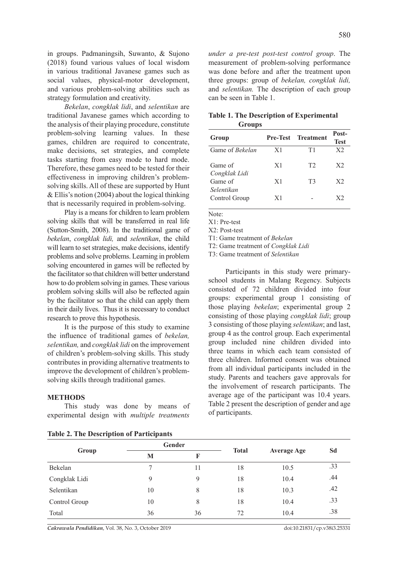in groups. Padmaningsih, Suwanto, & Sujono (2018) found various values of local wisdom in various traditional Javanese games such as social values, physical-motor development, and various problem-solving abilities such as strategy formulation and creativity.

*Bekelan*, *congklak lidi*, and *selentikan* are traditional Javanese games which according to the analysis of their playing procedure, constitute problem-solving learning values. In these games, children are required to concentrate, make decisions, set strategies, and complete tasks starting from easy mode to hard mode. Therefore, these games need to be tested for their effectiveness in improving children's problemsolving skills. All of these are supported by Hunt & Ellis's notion (2004) about the logical thinking that is necessarily required in problem-solving.

Play is a means for children to learn problem solving skills that will be transferred in real life (Sutton-Smith, 2008). In the traditional game of *bekelan*, *congklak lidi,* and *selentikan*, the child will learn to set strategies, make decisions, identify problems and solve problems. Learning in problem solving encountered in games will be reflected by the facilitator so that children will better understand how to do problem solving in games. These various problem solving skills will also be reflected again by the facilitator so that the child can apply them in their daily lives. Thus it is necessary to conduct research to prove this hypothesis.

It is the purpose of this study to examine the influence of traditional games of *bekelan, selentikan,* and *congklak lidi* on the improvement of children's problem-solving skills. This study contributes in providing alternative treatments to improve the development of children's problemsolving skills through traditional games.

#### **METHODS**

This study was done by means of experimental design with *multiple treatments* 

| <b>Table 2. The Description of Participants</b> |  |  |  |
|-------------------------------------------------|--|--|--|
|-------------------------------------------------|--|--|--|

*under a pre-test post-test control group*. The measurement of problem-solving performance was done before and after the treatment upon three groups: group of *bekelan, congklak lidi,*  and *selentikan.* The description of each group can be seen in Table 1.

|               | <b>Table 1. The Description of Experimental</b> |
|---------------|-------------------------------------------------|
| <b>Groups</b> |                                                 |

| Group                    | <b>Pre-Test</b> | <b>Treatment</b> | Post-<br><b>Test</b> |
|--------------------------|-----------------|------------------|----------------------|
| Game of <i>Bekelan</i>   | X1              | T1               | X <sub>2</sub>       |
| Game of<br>Congklak Lidi | X1              | T <sub>2</sub>   | X <sub>2</sub>       |
| Game of<br>Selentikan    | X1              | T3               | X <sub>2</sub>       |
| Control Group            | X1              |                  | X <sub>2</sub>       |

Note:

X1: Pre-test

X2: Post-test

T1: Game treatment of *Bekelan*

T2: Game treatment of *Congklak Lidi*

T3: Game treatment of *Selentikan*

Participants in this study were primaryschool students in Malang Regency. Subjects consisted of 72 children divided into four groups: experimental group 1 consisting of those playing *bekelan*; experimental group 2 consisting of those playing *congklak lidi*; group 3 consisting of those playing *selentikan*; and last, group 4 as the control group. Each experimental group included nine children divided into three teams in which each team consisted of three children. Informed consent was obtained from all individual participants included in the study. Parents and teachers gave approvals for the involvement of research participants. The average age of the participant was 10.4 years. Table 2 present the description of gender and age of participants.

| Group         |    | Gender |              |                    | Sd  |
|---------------|----|--------|--------------|--------------------|-----|
|               | M  | F      | <b>Total</b> | <b>Average Age</b> |     |
| Bekelan       | 7  | 11     | 18           | 10.5               | .33 |
| Congklak Lidi | 9  | 9      | 18           | 10.4               | .44 |
| Selentikan    | 10 | 8      | 18           | 10.3               | .42 |
| Control Group | 10 | 8      | 18           | 10.4               | .33 |
| Total         | 36 | 36     | 72           | 10.4               | .38 |

*Cakrawala Pendidikan*, Vol. 38, No. 3, October 2019 doi:10.21831/cp.v38i3.25331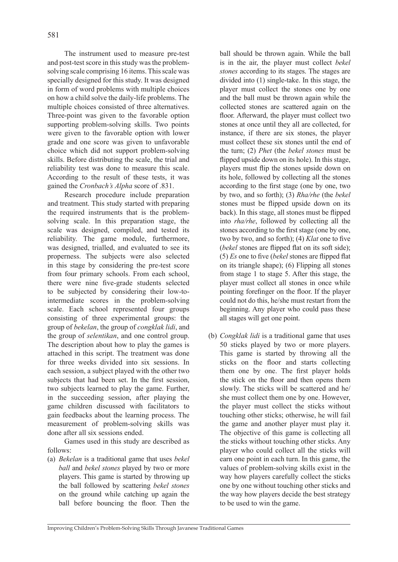The instrument used to measure pre-test and post-test score in this study was the problemsolving scale comprising 16 items. This scale was specially designed for this study. It was designed in form of word problems with multiple choices on how a child solve the daily-life problems. The multiple choices consisted of three alternatives. Three-point was given to the favorable option supporting problem-solving skills. Two points were given to the favorable option with lower grade and one score was given to unfavorable choice which did not support problem-solving skills. Before distributing the scale, the trial and reliability test was done to measure this scale. According to the result of these tests, it was gained the *Cronbach's Alpha* score of .831.

Research procedure include preparation and treatment. This study started with preparing the required instruments that is the problemsolving scale. In this preparation stage, the scale was designed, compiled, and tested its reliability. The game module, furthermore, was designed, trialled, and evaluated to see its properness. The subjects were also selected in this stage by considering the pre-test score from four primary schools. From each school, there were nine five-grade students selected to be subjected by considering their low-tointermediate scores in the problem-solving scale. Each school represented four groups consisting of three experimental groups: the group of *bekelan*, the group of *congklak lidi*, and the group of *selentikan*, and one control group. The description about how to play the games is attached in this script. The treatment was done for three weeks divided into six sessions. In each session, a subject played with the other two subjects that had been set. In the first session, two subjects learned to play the game. Further, in the succeeding session, after playing the game children discussed with facilitators to gain feedbacks about the learning process. The measurement of problem-solving skills was done after all six sessions ended.

Games used in this study are described as follows:

(a) *Bekelan* is a traditional game that uses *bekel ball* and *bekel stones* played by two or more players. This game is started by throwing up the ball followed by scattering *bekel stones* on the ground while catching up again the ball before bouncing the floor. Then the ball should be thrown again. While the ball is in the air, the player must collect *bekel stones* according to its stages. The stages are divided into (1) single-take. In this stage, the player must collect the stones one by one and the ball must be thrown again while the collected stones are scattered again on the floor. Afterward, the player must collect two stones at once until they all are collected, for instance, if there are six stones, the player must collect these six stones until the end of the turn; (2) *Phet* (the *bekel stones* must be flipped upside down on its hole). In this stage, players must flip the stones upside down on its hole, followed by collecting all the stones according to the first stage (one by one, two by two, and so forth); (3) *Rha/rhe* (the *bekel* stones must be flipped upside down on its back). In this stage, all stones must be flipped into *rha/rhe*, followed by collecting all the stones according to the first stage (one by one, two by two, and so forth); (4) *Klat* one to five (*bekel* stones are flipped flat on its soft side); (5) *Es* one to five (*bekel* stones are flipped flat on its triangle shape); (6) Flipping all stones from stage 1 to stage 5. After this stage, the player must collect all stones in once while pointing forefinger on the floor. If the player could not do this, he/she must restart from the beginning. Any player who could pass these all stages will get one point.

(b) *Congklak lidi* is a traditional game that uses 50 sticks played by two or more players. This game is started by throwing all the sticks on the floor and starts collecting them one by one. The first player holds the stick on the floor and then opens them slowly. The sticks will be scattered and he/ she must collect them one by one. However, the player must collect the sticks without touching other sticks; otherwise, he will fail the game and another player must play it. The objective of this game is collecting all the sticks without touching other sticks. Any player who could collect all the sticks will earn one point in each turn. In this game, the values of problem-solving skills exist in the way how players carefully collect the sticks one by one without touching other sticks and the way how players decide the best strategy to be used to win the game.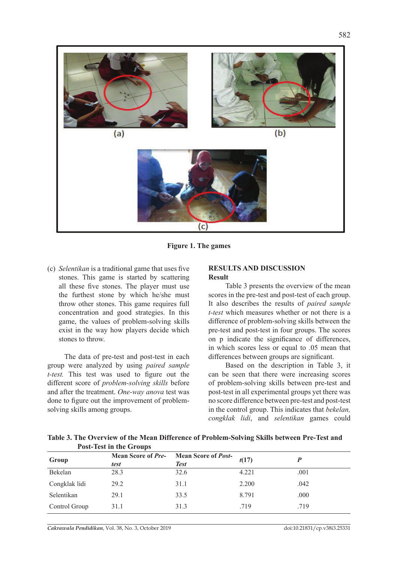

**Figure 1. The games**

(c) *Selentikan* is a traditional game that uses five stones. This game is started by scattering all these five stones. The player must use the furthest stone by which he/she must throw other stones. This game requires full concentration and good strategies. In this game, the values of problem-solving skills exist in the way how players decide which stones to throw.

The data of pre-test and post-test in each group were analyzed by using *paired sample t-test.* This test was used to figure out the different score of *problem-solving skills* before and after the treatment. *One-way anova* test was done to figure out the improvement of problemsolving skills among groups.

## **RESULTS AND DISCUSSION Result**

Table 3 presents the overview of the mean scores in the pre-test and post-test of each group. It also describes the results of *paired sample t-test* which measures whether or not there is a difference of problem-solving skills between the pre-test and post-test in four groups. The scores on p indicate the significance of differences, in which scores less or equal to .05 mean that differences between groups are significant.

Based on the description in Table 3, it can be seen that there were increasing scores of problem-solving skills between pre-test and post-test in all experimental groups yet there was no score difference between pre-test and post-test in the control group. This indicates that *bekelan, congklak lidi*, and *selentikan* games could

**Table 3. The Overview of the Mean Difference of Problem-Solving Skills between Pre-Test and Post-Test in the Groups**

|               | 1 ost 10st in the Groups          |                                           |       |      |
|---------------|-----------------------------------|-------------------------------------------|-------|------|
| Group         | <b>Mean Score of Pre-</b><br>test | <b>Mean Score of Post-</b><br><b>Test</b> | t(17) |      |
| Bekelan       | 28.3                              | 32.6                                      | 4.221 | .001 |
| Congklak lidi | 29.2                              | 31.1                                      | 2.200 | .042 |
| Selentikan    | 29.1                              | 33.5                                      | 8.791 | .000 |
| Control Group | 31.1                              | 31.3                                      | .719  | .719 |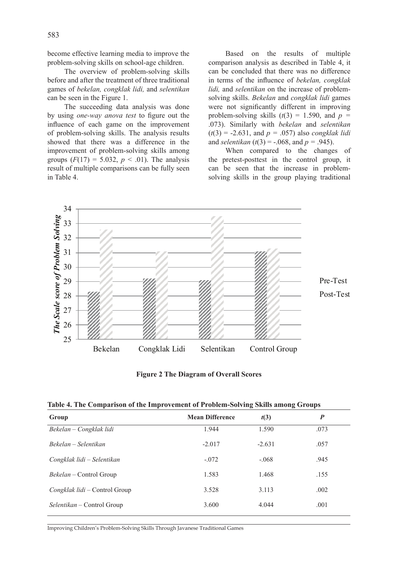become effective learning media to improve the problem-solving skills on school-age children.

The overview of problem-solving skills before and after the treatment of three traditional games of *bekelan, congklak lidi,* and *selentikan*  can be seen in the Figure 1.

The succeeding data analysis was done by using *one-way anova test* to figure out the influence of each game on the improvement of problem-solving skills. The analysis results showed that there was a difference in the improvement of problem-solving skills among groups  $(F(17) = 5.032, p < .01)$ . The analysis result of multiple comparisons can be fully seen in Table 4.

Based on the results of multiple comparison analysis as described in Table 4, it can be concluded that there was no difference in terms of the influence of *bekelan, congklak lidi,* and *selentikan* on the increase of problemsolving skills. *Bekelan* and *congklak lidi* games were not significantly different in improving problem-solving skills  $(t(3) = 1.590$ , and  $p =$ .073). Similarly with *bekelan* and *selentikan*  $(t(3) = -2.631$ , and  $p = .057$ ) also *congklak lidi* and *selentikan* ( $t(3) = -0.068$ , and  $p = 0.945$ ).

When compared to the changes of the pretest-posttest in the control group, it can be seen that the increase in problemsolving skills in the group playing traditional



**Figure 2 The Diagram of Overall Scores**

**Table 4. The Comparison of the Improvement of Problem-Solving Skills among Groups**

| Group                                | <b>Mean Difference</b> | t(3)     | $\boldsymbol{P}$ |
|--------------------------------------|------------------------|----------|------------------|
| Bekelan – Congklak lidi              | 1.944                  | 1.590    | .073             |
| Bekelan – Selentikan                 | $-2.017$               | $-2.631$ | .057             |
| Congklak lidi – Selentikan           | $-.072$                | $-.068$  | .945             |
| <i>Bekelan</i> – Control Group       | 1.583                  | 1.468    | .155             |
| <i>Congklak lidi</i> – Control Group | 3.528                  | 3.113    | .002             |
| $Selentikan$ – Control Group         | 3.600                  | 4.044    | .001             |

Improving Children's Problem-Solving Skills Through Javanese Traditional Games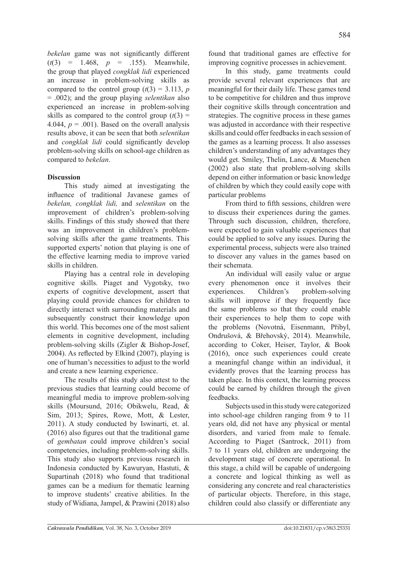*bekelan* game was not significantly different  $(t(3) = 1.468, p = .155)$ . Meanwhile, the group that played *congklak lidi* experienced an increase in problem-solving skills as compared to the control group  $(t(3) = 3.113, p)$ = .002); and the group playing *selentikan* also experienced an increase in problem-solving skills as compared to the control group  $(t(3)$  = 4.044,  $p = .001$ ). Based on the overall analysis results above, it can be seen that both *selentikan* and *congklak lidi* could significantly develop problem-solving skills on school-age children as compared to *bekelan*.

# **Discussion**

This study aimed at investigating the influence of traditional Javanese games of *bekelan, congklak lidi,* and *selentikan* on the improvement of children's problem-solving skills. Findings of this study showed that there was an improvement in children's problemsolving skills after the game treatments. This supported experts' notion that playing is one of the effective learning media to improve varied skills in children.

Playing has a central role in developing cognitive skills. Piaget and Vygotsky, two experts of cognitive development, assert that playing could provide chances for children to directly interact with surrounding materials and subsequently construct their knowledge upon this world. This becomes one of the most salient elements in cognitive development, including problem-solving skills (Zigler & Bishop-Josef, 2004). As reflected by Elkind (2007), playing is one of human's necessities to adjust to the world and create a new learning experience.

The results of this study also attest to the previous studies that learning could become of meaningful media to improve problem-solving skills (Moursund, 2016; Obikwelu, Read, & Sim, 2013; Spires, Rowe, Mott, & Lester, 2011). A study conducted by Iswinarti, et. al. (2016) also figures out that the traditional game of *gembatan* could improve children's social competencies, including problem-solving skills. This study also supports previous research in Indonesia conducted by Kawuryan, Hastuti, & Supartinah (2018) who found that traditional games can be a medium for thematic learning to improve students' creative abilities. In the study of Widiana, Jampel, & Prawini (2018) also found that traditional games are effective for improving cognitive processes in achievement.

In this study, game treatments could provide several relevant experiences that are meaningful for their daily life. These games tend to be competitive for children and thus improve their cognitive skills through concentration and strategies. The cognitive process in these games was adjusted in accordance with their respective skills and could offer feedbacks in each session of the games as a learning process. It also assesses children's understanding of any advantages they would get. Smiley, Thelin, Lance, & Muenchen (2002) also state that problem-solving skills depend on either information or basic knowledge of children by which they could easily cope with particular problems

From third to fifth sessions, children were to discuss their experiences during the games. Through such discussion, children, therefore, were expected to gain valuable experiences that could be applied to solve any issues. During the experimental process, subjects were also trained to discover any values in the games based on their schemata.

An individual will easily value or argue every phenomenon once it involves their experiences. Children's problem-solving skills will improve if they frequently face the same problems so that they could enable their experiences to help them to cope with the problems (Novotná, Eisenmann, Přibyl, Ondrušová, & Břehovský, 2014). Meanwhile, according to Coker, Heiser, Taylor, & Book (2016), once such experiences could create a meaningful change within an individual, it evidently proves that the learning process has taken place. In this context, the learning process could be earned by children through the given feedbacks.

Subjects used in this study were categorized into school-age children ranging from 9 to 11 years old, did not have any physical or mental disorders, and varied from male to female. According to Piaget (Santrock, 2011) from 7 to 11 years old, children are undergoing the development stage of concrete operational. In this stage, a child will be capable of undergoing a concrete and logical thinking as well as considering any concrete and real characteristics of particular objects. Therefore, in this stage, children could also classify or differentiate any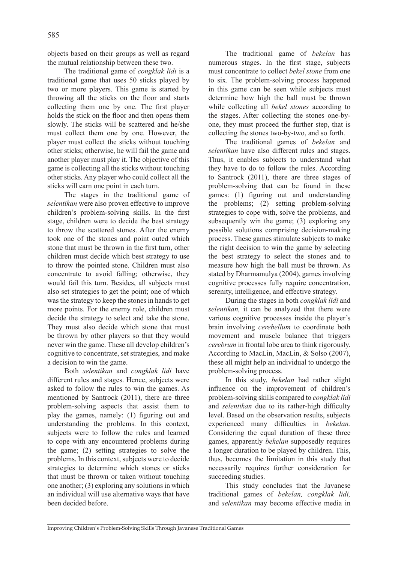objects based on their groups as well as regard the mutual relationship between these two.

The traditional game of *congklak lidi* is a traditional game that uses 50 sticks played by two or more players. This game is started by throwing all the sticks on the floor and starts collecting them one by one. The first player holds the stick on the floor and then opens them slowly. The sticks will be scattered and he/she must collect them one by one. However, the player must collect the sticks without touching other sticks; otherwise, he will fail the game and another player must play it. The objective of this game is collecting all the sticks without touching other sticks. Any player who could collect all the sticks will earn one point in each turn.

The stages in the traditional game of *selentikan* were also proven effective to improve children's problem-solving skills. In the first stage, children were to decide the best strategy to throw the scattered stones. After the enemy took one of the stones and point outed which stone that must be thrown in the first turn, other children must decide which best strategy to use to throw the pointed stone. Children must also concentrate to avoid falling; otherwise, they would fail this turn. Besides, all subjects must also set strategies to get the point; one of which was the strategy to keep the stones in hands to get more points. For the enemy role, children must decide the strategy to select and take the stone. They must also decide which stone that must be thrown by other players so that they would never win the game. These all develop children's cognitive to concentrate, set strategies, and make a decision to win the game.

Both *selentikan* and *congklak lidi* have different rules and stages. Hence, subjects were asked to follow the rules to win the games. As mentioned by Santrock (2011), there are three problem-solving aspects that assist them to play the games, namely: (1) figuring out and understanding the problems. In this context, subjects were to follow the rules and learned to cope with any encountered problems during the game; (2) setting strategies to solve the problems. In this context, subjects were to decide strategies to determine which stones or sticks that must be thrown or taken without touching one another; (3) exploring any solutions in which an individual will use alternative ways that have been decided before.

The traditional game of *bekelan* has numerous stages. In the first stage, subjects must concentrate to collect *bekel stone* from one to six. The problem-solving process happened in this game can be seen while subjects must determine how high the ball must be thrown while collecting all *bekel stones* according to the stages. After collecting the stones one-byone, they must proceed the further step, that is collecting the stones two-by-two, and so forth.

The traditional games of *bekelan* and *selentikan* have also different rules and stages. Thus, it enables subjects to understand what they have to do to follow the rules. According to Santrock (2011), there are three stages of problem-solving that can be found in these games: (1) figuring out and understanding the problems; (2) setting problem-solving strategies to cope with, solve the problems, and subsequently win the game; (3) exploring any possible solutions comprising decision-making process. These games stimulate subjects to make the right decision to win the game by selecting the best strategy to select the stones and to measure how high the ball must be thrown. As stated by Dharmamulya (2004), games involving cognitive processes fully require concentration, serenity, intelligence, and effective strategy.

During the stages in both *congklak lidi* and *selentikan,* it can be analyzed that there were various cognitive processes inside the player's brain involving *cerebellum* to coordinate both movement and muscle balance that triggers *cerebrum* in frontal lobe area to think rigorously. According to MacLin, MacLin, & Solso (2007), these all might help an individual to undergo the problem-solving process.

In this study, *bekelan* had rather slight influence on the improvement of children's problem-solving skills compared to *congklak lidi*  and *selentikan* due to its rather-high difficulty level. Based on the observation results, subjects experienced many difficulties in *bekelan.*  Considering the equal duration of these three games, apparently *bekelan* supposedly requires a longer duration to be played by children. This, thus, becomes the limitation in this study that necessarily requires further consideration for succeeding studies.

This study concludes that the Javanese traditional games of *bekelan, congklak lidi,*  and *selentikan* may become effective media in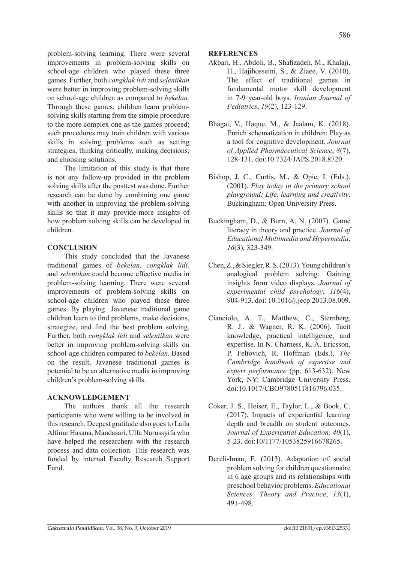problem-solving learning. There were several improvements in problem-solving skills on school-age children who played these three games. Further, both *congklak lidi* and *selentikan*  were better in improving problem-solving skills on school-age children as compared to *bekelan.* Through these games, children learn problemsolving skills starting from the simple procedure to the more complex one as the games proceed; such procedures may train children with various skills in solving problems such as setting strategies, thinking critically, making decisions, and choosing solutions.

The limitation of this study is that there is not any follow-up provided in the problem solving skills after the posttest was done. Further research can be done by combining one game with another in improving the problem-solving skills so that it may provide-more insights of how problem solving skills can be developed in children.

## **CONCLUSION**

This study concluded that the Javanese traditional games of *bekelan, congklak lidi,*  and *selentikan* could become effective media in problem-solving learning. There were several improvements of problem-solving skills on school-age children who played these three games. By playing Javanese traditional game children learn to find problems, make decisions, strategize, and find the best problem solving, Further, both *congklak lidi* and *selentikan* were better in improving problem-solving skills on school-age children compared to *bekelan.* Based on the result, Javanese traditional games is potential to be an alternative media in improving children's problem-solving skills.

### **ACKNOWLEDGEMENT**

The authors thank all the research participants who were willing to be involved in this research. Deepest gratitude also goes to Laila Alfinur Hasana, Mandasari, Ulfa Nurussyifa who have helped the researchers with the research process and data collection. This research was funded by internal Faculty Research Support Fund.

#### **REFERENCES**

- Akbari, H., Abdoli, B., Shafizadeh, M., Khalaji, H., Hajihosseini, S., & Ziaee, V. (2010). The effect of traditional games in fundamental motor skill development in 7-9 year-old boys. *Iranian Journal of Pediatrics*, *19*(2), 123-129.
- Bhagat, V., Haque, M., & Jaalam, K. (2018). Enrich schematization in children: Play as a tool for cognitive development. *Journal of Applied Pharmaceutical Science*, *8*(7), 128-131. doi:10.7324/JAPS.2018.8720.
- Bishop, J. C., Curtis, M., & Opie, I. (Eds.). (2001). *Play today in the primary school playground: Life, learning and creativity*. Buckingham: Open University Press.
- Buckingham, D., & Burn, A. N. (2007). Game literacy in theory and practice. *Journal of Educational Multimedia and Hypermedia*, *16*(3), 323-349.
- Chen, Z., & Siegler, R. S. (2013). Young children's analogical problem solving: Gaining insights from video displays. *Journal of experimental child psychology*, *116*(4), 904-913. doi: 10.1016/j.jecp.2013.08.009.
- Cianciolo, A. T., Matthew, C., Sternberg, R. J., & Wagner, R. K. (2006). Tacit knowledge, practical intelligence, and expertise. In N. Charness, K. A. Ericsson, P. Feltovich, R. Hoffman (Eds.), *The Cambridge handbook of expertise and expert performance* (pp. 613-632). New York, NY: Cambridge University Press. doi:10.1017/CBO9780511816796.035.
- Coker, J. S., Heiser, E., Taylor, L., & Book, C. (2017). Impacts of experiential learning depth and breadth on student outcomes. *Journal of Experiential Education, 40*(1), 5-23. doi:10/1177/1053825916678265.
- Dereli-Iman, E. (2013). Adaptation of social problem solving for children questionnaire in 6 age groups and its relationships with preschool behavior problems. *Educational Sciences: Theory and Practice*, *13*(1), 491-498.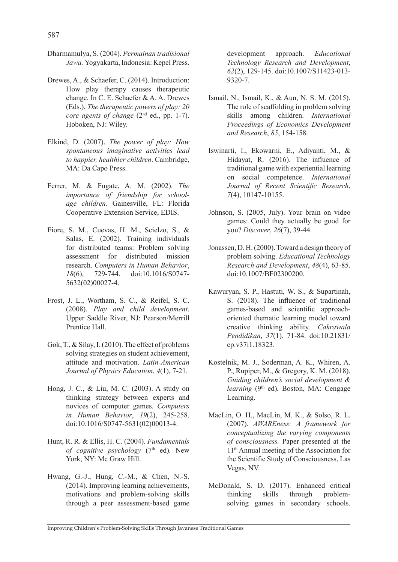- Dharmamulya, S. (2004). *Permainan tradisional Jawa.* Yogyakarta, Indonesia: Kepel Press.
- Drewes, A., & Schaefer, C. (2014). Introduction: How play therapy causes therapeutic change. In C. E. Schaefer & A. A. Drewes (Eds.), *The therapeutic powers of play: 20 core agents of change* (2<sup>nd</sup> ed., pp. 1-7). Hoboken, NJ: Wiley.
- Elkind, D. (2007). *The power of play: How spontaneous imaginative activities lead to happier, healthier children*. Cambridge, MA: Da Capo Press.
- Ferrer, M. & Fugate, A. M. (2002). *The importance of friendship for schoolage children*. Gainesville, FL: Florida Cooperative Extension Service, EDIS.
- Fiore, S. M., Cuevas, H. M., Scielzo, S., & Salas, E. (2002). Training individuals for distributed teams: Problem solving assessment for distributed mission research. *Computers in Human Behavior*, *18*(6), 729-744. doi:10.1016/S0747- 5632(02)00027-4.
- Frost, J. L., Wortham, S. C., & Reifel, S. C. (2008). *Play and child development*. Upper Saddle River, NJ: Pearson/Merrill Prentice Hall.
- Gok, T., & Silay, I. (2010). The effect of problems solving strategies on student achievement, attitude and motivation. *Latin-American Journal of Physics Education*, *4*(1), 7-21.
- Hong, J. C., & Liu, M. C. (2003). A study on thinking strategy between experts and novices of computer games. *Computers in Human Behavior*, *19*(2), 245-258. doi:10.1016/S0747-5631(02)00013-4.
- Hunt, R. R. & Ellis, H. C. (2004). *Fundamentals of cognitive psychology* (7th ed)*.* New York, NY: Mc Graw Hill.
- Hwang, G.-J., Hung, C.-M., & Chen, N.-S. (2014). Improving learning achievements, motivations and problem-solving skills through a peer assessment-based game

development approach. *Educational Technology Research and Development*, *62*(2), 129-145. doi:10.1007/S11423-013- 9320-7.

- Ismail, N., Ismail, K., & Aun, N. S. M. (2015). The role of scaffolding in problem solving skills among children. *International Proceedings of Economics Development and Research*, *85*, 154-158.
- Iswinarti, I., Ekowarni, E., Adiyanti, M., & Hidayat, R. (2016). The influence of traditional game with experiential learning on social competence. *International Journal of Recent Scientific Research*, *7*(4), 10147-10155.
- Johnson, S. (2005, July). Your brain on video games: Could they actually be good for you? *Discover*, *26*(7), 39-44.
- Jonassen, D. H. (2000). Toward a design theory of problem solving. *Educational Technology Research and Development*, *48*(4), 63-85. doi:10.1007/BF02300200.
- Kawuryan, S. P., Hastuti, W. S., & Supartinah, S. (2018). The influence of traditional games-based and scientific approachoriented thematic learning model toward creative thinking ability. *Cakrawala Pendidikan*, *37*(1). 71-84. doi:10.21831/ cp.v37i1.18323.
- Kostelnik, M. J., Soderman, A. K., Whiren, A. P., Rupiper, M., & Gregory, K. M. (2018). *Guiding children's social development & learning* (9<sup>th</sup> ed). Boston, MA: Cengage Learning.
- MacLin, O. H., MacLin, M. K., & Solso, R. L. (2007). *AWAREness: A framework for conceptualizing the varying components of consciousness.* Paper presented at the 11th Annual meeting of the Association for the Scientific Study of Consciousness, Las Vegas, NV.
- McDonald, S. D. (2017). Enhanced critical thinking skills through problemsolving games in secondary schools.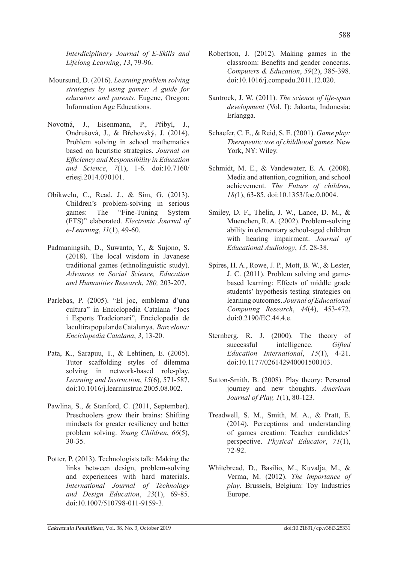*Interdiciplinary Journal of E-Skills and Lifelong Learning*, *13*, 79-96.

- Moursund, D. (2016). *Learning problem solving strategies by using games: A guide for educators and parents.* Eugene, Oregon: Information Age Educations.
- Novotná, J., Eisenmann, P., Přibyl, J., Ondrušová, J., & Břehovský, J. (2014). Problem solving in school mathematics based on heuristic strategies. *Journal on Efficiency and Responsibility in Education and Science*, *7*(1), 1-6. doi:10.7160/ eriesj.2014.070101.
- Obikwelu, C., Read, J., & Sim, G. (2013). Children's problem-solving in serious games: The "Fine-Tuning System (FTS)" elaborated. *Electronic Journal of e-Learning*, *11*(1), 49-60.
- Padmaningsih, D., Suwanto, Y., & Sujono, S. (2018). The local wisdom in Javanese traditional games (ethnolinguistic study). *Advances in Social Science, Education and Humanities Research*, *280,* 203-207.
- Parlebas, P. (2005). "El joc, emblema d'una cultura" in Enciclopedia Catalana "Jocs i Esports Tradcionari", Enciclopedia de lacultira popular de Catalunya. *Barcelona: Enciclopedia Catalana*, *3*, 13-20.
- Pata, K., Sarapuu, T., & Lehtinen, E. (2005). Tutor scaffolding styles of dilemma solving in network-based role-play. *Learning and Instruction*, *15*(6), 571-587. doi:10.1016/j.learninstruc.2005.08.002.
- Pawlina, S., & Stanford, C. (2011, September). Preschoolers grow their brains: Shifting mindsets for greater resiliency and better problem solving. *Young Children*, *66*(5), 30-35.
- Potter, P. (2013). Technologists talk: Making the links between design, problem-solving and experiences with hard materials. *International Journal of Technology and Design Education*, *23*(1), 69-85. doi:10.1007/510798-011-9159-3.
- Robertson, J. (2012). Making games in the classroom: Benefits and gender concerns. *Computers & Education*, *59*(2), 385-398. doi:10.1016/j.compedu.2011.12.020.
- Santrock, J. W. (2011). *The science of life-span development* (Vol. I): Jakarta, Indonesia: Erlangga.
- Schaefer, C. E., & Reid, S. E. (2001). *Game play: Therapeutic use of childhood games*. New York, NY: Wiley.
- Schmidt, M. E., & Vandewater, E. A. (2008). Media and attention, cognition, and school achievement. *The Future of children*, *18(*1), 63-85. doi:10.1353/foc.0.0004.
- Smiley, D. F., Thelin, J. W., Lance, D. M., & Muenchen, R. A. (2002). Problem-solving ability in elementary school-aged children with hearing impairment. *Journal of Educational Audiology*, *15*, 28-38.
- Spires, H. A., Rowe, J. P., Mott, B. W., & Lester, J. C. (2011). Problem solving and gamebased learning: Effects of middle grade students' hypothesis testing strategies on learning outcomes. *Journal of Educational Computing Research*, *44*(4), 453-472. doi:0.2190/EC.44.4.e.
- Sternberg, R. J. (2000). The theory of successful intelligence. *Gifted Education International*, *15*(1), 4-21. doi:10.1177/026142940001500103.
- Sutton-Smith, B. (2008). Play theory: Personal journey and new thoughts. *American Journal of Play, 1*(1), 80-123.
- Treadwell, S. M., Smith, M. A., & Pratt, E. (2014). Perceptions and understanding of games creation: Teacher candidates' perspective. *Physical Educator*, *71*(1), 72-92.
- Whitebread, D., Basilio, M., Kuvalja, M., & Verma, M. (2012). *The importance of play*. Brussels, Belgium: Toy Industries Europe.